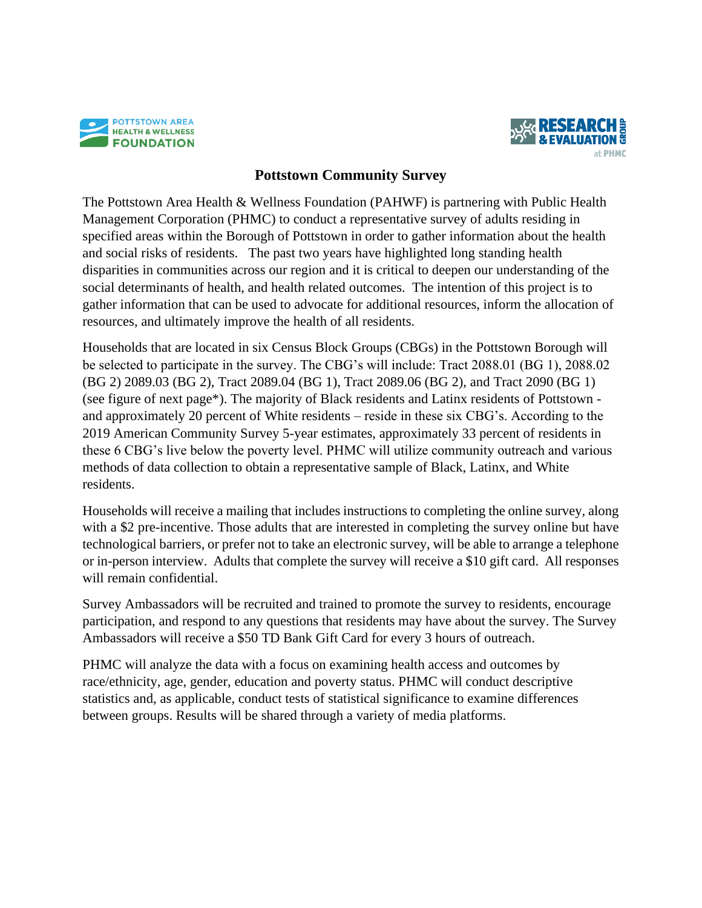



## **Pottstown Community Survey**

The Pottstown Area Health & Wellness Foundation (PAHWF) is partnering with Public Health Management Corporation (PHMC) to conduct a representative survey of adults residing in specified areas within the Borough of Pottstown in order to gather information about the health and social risks of residents. The past two years have highlighted long standing health disparities in communities across our region and it is critical to deepen our understanding of the social determinants of health, and health related outcomes. The intention of this project is to gather information that can be used to advocate for additional resources, inform the allocation of resources, and ultimately improve the health of all residents.

Households that are located in six Census Block Groups (CBGs) in the Pottstown Borough will be selected to participate in the survey. The CBG's will include: Tract 2088.01 (BG 1), 2088.02 (BG 2) 2089.03 (BG 2), Tract 2089.04 (BG 1), Tract 2089.06 (BG 2), and Tract 2090 (BG 1) (see figure of next page\*). The majority of Black residents and Latinx residents of Pottstown and approximately 20 percent of White residents – reside in these six CBG's. According to the 2019 American Community Survey 5-year estimates, approximately 33 percent of residents in these 6 CBG's live below the poverty level. PHMC will utilize community outreach and various methods of data collection to obtain a representative sample of Black, Latinx, and White residents.

Households will receive a mailing that includes instructions to completing the online survey, along with a \$2 pre-incentive. Those adults that are interested in completing the survey online but have technological barriers, or prefer not to take an electronic survey, will be able to arrange a telephone or in-person interview. Adults that complete the survey will receive a \$10 gift card. All responses will remain confidential.

Survey Ambassadors will be recruited and trained to promote the survey to residents, encourage participation, and respond to any questions that residents may have about the survey. The Survey Ambassadors will receive a \$50 TD Bank Gift Card for every 3 hours of outreach.

PHMC will analyze the data with a focus on examining health access and outcomes by race/ethnicity, age, gender, education and poverty status. PHMC will conduct descriptive statistics and, as applicable, conduct tests of statistical significance to examine differences between groups. Results will be shared through a variety of media platforms.